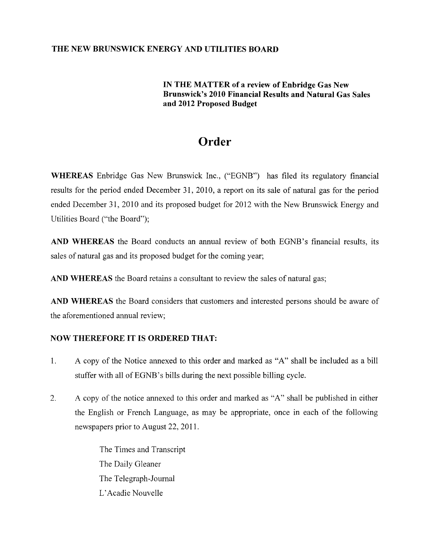## **THE NEW BRUNSWICK ENERGY AND UTILITIES BOARD**

## **IN THE MATTER of a review of Enbridge Gas New Brunswick's 2010 Financial Results and Natural Gas Sales and 2012 Proposed Budget**

## **Order**

**WHEREAS** Enbridge Gas New Brunswick Inc., ("EGNB") has filed its regulatory financial results for the period ended December 31, 2010, a report on its sale of natural gas for the period ended December 31, 2010 and its proposed budget for 2012 with the New Brunswick Energy and Utilities Board ("the Board");

AND WHEREAS the Board conducts an annual review of both EGNB's financial results, its sales of natural gas and its proposed budget for the coming year;

**AND WHEREAS** the Board retains a consultant to review the sales of natural gas;

**AND WHEREAS** the Board considers that customers and interested persons should be aware of the aforementioned annual review;

## **NOW THEREFORE IT IS ORDERED THAT:**

- 1. A copy of the Notice annexed to this order and marked as "A" shall be included as a bill stuffer with all of EGNB's bills during the next possible billing cycle.
- 2. A copy of the notice annexed to this order and marked as "A" shall be published in either the English or French Language, as may be appropriate, once in each of the following newspapers prior to August 22,2011.

The Times and Transcript The Daily Gleaner The Telegraph-Journal L' Acadie Nouvelle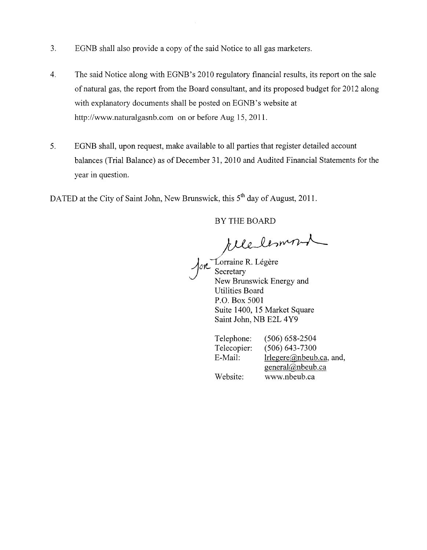- 3. EONB shall also provide a copy of the said Notice to all gas marketers.
- 4. The said Notice along with EONB' s 2010 regulatory financial results, its report on the sale of natural gas, the report from the Board consultant, and its proposed budget for 2012 along with explanatory documents shall be posted on EGNB's website at http://www.naturalgasnb.com on or before Aug 15,2011.
- 5. EONB shall, upon request, make available to all parties that register detailed account balances (Trial Balance) as of December 31, 2010 and Audited Financial Statements for the year in question.

DATED at the City of Saint John, New Brunswick, this 5<sup>th</sup> day of August, 2011.

BY THE BOARD

Y THE BOARD

Jon<sup>Torraine</sup> R. Légère New Brunswick Energy and Utilities Board P.O. Box 5001 Suite 1400, 15 Market Square Saint John, NB E2L 4Y9

Telephone: Telecopier: E-Mail: Website: (506) 658-2504 (506) 643-7300 lrlegere@nbeub.ca, and, general@nbeub.ca www.nbeub.ca